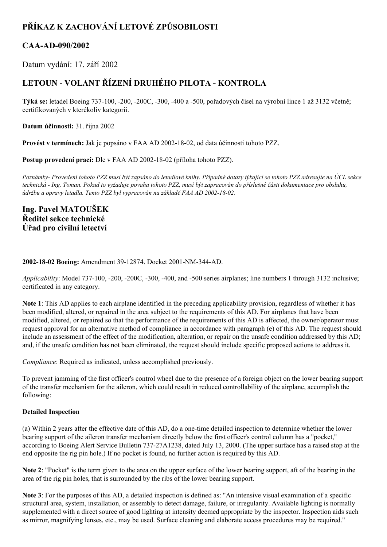# **PŘÍKAZ K ZACHOVÁNÍ LETOVÉ ZPŮSOBILOSTI**

# **CAAAD090/2002**

Datum vydání: 17. září 2002

# **LETOUN VOLANT ŘÍZENÍ DRUHÉHO PILOTA KONTROLA**

**Týká se:** letadel Boeing 737100, 200, 200C, 300, 400 a 500, pořadových čísel na výrobní lince 1 až 3132 včetně; certifikovaných v kterékoliv kategorii.

**Datum účinnosti:** 31. října 2002

**Provést v termínech:** Jak je popsáno v FAA AD 20021802, od data účinnosti tohoto PZZ.

Postup provedení prací: Dle v FAA AD 2002-18-02 (příloha tohoto PZZ).

Poznámky- Provedení tohoto PZZ musí být zapsáno do letadlové knihy. Případné dotazy týkající se tohoto PZZ adresujte na ÚCL sekce technická - Ing. Toman. Pokud to vyžaduje povaha tohoto PZZ, musí být zapracován do příslušné části dokumentace pro obsluhu, *údržbu a opravy letadla. Tento PZZ byl vypracován na základě FAA AD 2002-18-02.* 

**Ing. Pavel MATOUŠEK Ředitel sekce technické Úřad pro civilní letectví**

## **2002-18-02 Boeing:** Amendment 39-12874. Docket 2001-NM-344-AD.

*Applicability*: Model 737-100, -200, -200C, -300, -400, and -500 series airplanes; line numbers 1 through 3132 inclusive; certificated in any category.

**Note 1**: This AD applies to each airplane identified in the preceding applicability provision, regardless of whether it has been modified, altered, or repaired in the area subject to the requirements of this AD. For airplanes that have been modified, altered, or repaired so that the performance of the requirements of this AD is affected, the owner/operator must request approval for an alternative method of compliance in accordance with paragraph (e) of this AD. The request should include an assessment of the effect of the modification, alteration, or repair on the unsafe condition addressed by this AD; and, if the unsafe condition has not been eliminated, the request should include specific proposed actions to address it.

*Compliance*: Required as indicated, unless accomplished previously.

To prevent jamming of the first officer's control wheel due to the presence of a foreign object on the lower bearing support of the transfer mechanism for the aileron, which could result in reduced controllability of the airplane, accomplish the following:

# **Detailed Inspection**

(a) Within 2 years after the effective date of this AD, do a onetime detailed inspection to determine whether the lower bearing support of the aileron transfer mechanism directly below the first officer's control column has a "pocket," according to Boeing Alert Service Bulletin 737-27A1238, dated July 13, 2000. (The upper surface has a raised stop at the end opposite the rig pin hole.) If no pocket is found, no further action is required by this AD.

**Note 2**: "Pocket" is the term given to the area on the upper surface of the lower bearing support, aft of the bearing in the area of the rig pin holes, that is surrounded by the ribs of the lower bearing support.

**Note 3**: For the purposes of this AD, a detailed inspection is defined as: "An intensive visual examination of a specific structural area, system, installation, or assembly to detect damage, failure, or irregularity. Available lighting is normally supplemented with a direct source of good lighting at intensity deemed appropriate by the inspector. Inspection aids such as mirror, magnifying lenses, etc., may be used. Surface cleaning and elaborate access procedures may be required."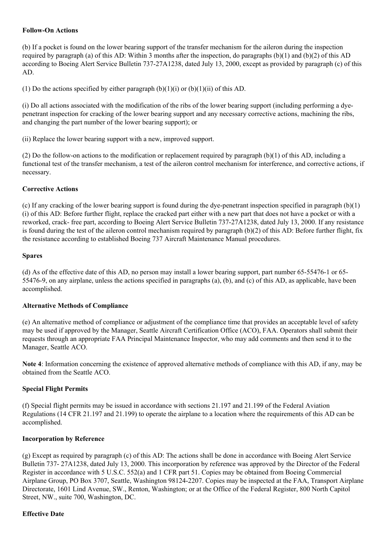# **Follow-On Actions**

(b) If a pocket is found on the lower bearing support of the transfer mechanism for the aileron during the inspection required by paragraph (a) of this AD: Within 3 months after the inspection, do paragraphs  $(b)(1)$  and  $(b)(2)$  of this AD according to Boeing Alert Service Bulletin 73727A1238, dated July 13, 2000, except as provided by paragraph (c) of this AD.

(1) Do the actions specified by either paragraph  $(b)(1)(i)$  or  $(b)(1)(ii)$  of this AD.

(i) Do all actions associated with the modification of the ribs of the lower bearing support (including performing a dyepenetrant inspection for cracking of the lower bearing support and any necessary corrective actions, machining the ribs, and changing the part number of the lower bearing support); or

(ii) Replace the lower bearing support with a new, improved support.

(2) Do the follow-on actions to the modification or replacement required by paragraph (b)(1) of this AD, including a functional test of the transfer mechanism, a test of the aileron control mechanism for interference, and corrective actions, if necessary.

## **Corrective Actions**

(c) If any cracking of the lower bearing support is found during the dye-penetrant inspection specified in paragraph  $(b)(1)$ (i) of this AD: Before further flight, replace the cracked part either with a new part that does not have a pocket or with a reworked, crack-free part, according to Boeing Alert Service Bulletin 737-27A1238, dated July 13, 2000. If any resistance is found during the test of the aileron control mechanism required by paragraph (b)(2) of this AD: Before further flight, fix the resistance according to established Boeing 737 Aircraft Maintenance Manual procedures.

### **Spares**

(d) As of the effective date of this AD, no person may install a lower bearing support, part number 65-55476-1 or 65-554769, on any airplane, unless the actions specified in paragraphs (a), (b), and (c) of this AD, as applicable, have been accomplished.

### **Alternative Methods of Compliance**

(e) An alternative method of compliance or adjustment of the compliance time that provides an acceptable level of safety may be used if approved by the Manager, Seattle Aircraft Certification Office (ACO), FAA. Operators shall submit their requests through an appropriate FAA Principal Maintenance Inspector, who may add comments and then send it to the Manager, Seattle ACO.

**Note 4**: Information concerning the existence of approved alternative methods of compliance with this AD, if any, may be obtained from the Seattle ACO.

### **Special Flight Permits**

(f) Special flight permits may be issued in accordance with sections 21.197 and 21.199 of the Federal Aviation Regulations (14 CFR 21.197 and 21.199) to operate the airplane to a location where the requirements of this AD can be accomplished.

### **Incorporation by Reference**

(g) Except as required by paragraph (c) of this AD: The actions shall be done in accordance with Boeing Alert Service Bulletin 737-27A1238, dated July 13, 2000. This incorporation by reference was approved by the Director of the Federal Register in accordance with 5 U.S.C. 552(a) and 1 CFR part 51. Copies may be obtained from Boeing Commercial Airplane Group, PO Box 3707, Seattle, Washington 981242207. Copies may be inspected at the FAA, Transport Airplane Directorate, 1601 Lind Avenue, SW., Renton, Washington; or at the Office of the Federal Register, 800 North Capitol Street, NW., suite 700, Washington, DC.

### **Effective Date**